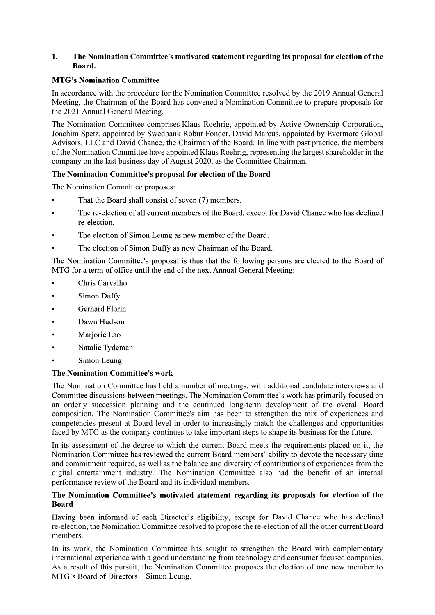# 1. The Nomination Committee's motivated statement regarding its proposal for election of the Board.

# **MTG's Nomination Committee**

In accordance with the procedure for the Nomination Committee resolved by the 2019 Annual General Meeting, the Chairman of the Board has convened a Nomination Committee to prepare proposals for the 2021 Annual General Meeting.

The Nomination Committee comprises Klaus Roehrig, appointed by Active Ownership Corporation, Joachim Spetz, appointed by Swedbank Robur Fonder, David Marcus, appointed by Evermore Global Advisors, LLC and David Chance, the Chairman of the Board. In line with past practice, the members of the Nomination Committee have appointed Klaus Roehrig, representing the largest shareholder in the company on the last business day of August 2020, as the Committee Chairman.

# The Nomination Committee's proposal for election of the Board

The Nomination Committee proposes:

- That the Board shall consist of seven (7) members.
- The re-election of all current members of the Board, except for David Chance who has declined re-election.
- The election of Simon Leung as new member of the Board.  $\bullet$
- The election of Simon Duffy as new Chairman of the Board.

The Nomination Committee's proposal is thus that the following persons are elected to the Board of MTG for a term of office until the end of the next Annual General Meeting:

- Chris Carvalho
- **Simon Duffy**
- **Gerhard Florin**  $\bullet$
- Dawn Hudson
- Marjorie Lao
- Natalie Tydeman  $\bullet$
- Simon Leung

### The Nomination Committee's work

The Nomination Committee has held a number of meetings, with additional candidate interviews and Committee discussions between meetings. The Nomination Committee's work has primarily focused on an orderly succession planning and the continued long-term development of the overall Board composition. The Nomination Committee's aim has been to strengthen the mix of experiences and competencies present at Board level in order to increasingly match the challenges and opportunities faced by MTG as the company continues to take important steps to shape its business for the future.

In its assessment of the degree to which the current Board meets the requirements placed on it, the Nomination Committee has reviewed the current Board members' ability to devote the necessary time and commitment required, as well as the balance and diversity of contributions of experiences from the digital entertainment industry. The Nomination Committee also had the benefit of an internal performance review of the Board and its individual members.

### The Nomination Committee's motivated statement regarding its proposals for election of the Board

Having been informed of each Director's eligibility, except for David Chance who has declined re-election, the Nomination Committee resolved to propose the re-election of all the other current Board members.

In its work, the Nomination Committee has sought to strengthen the Board with complementary international experience with a good understanding from technology and consumer focused companies. As a result of this pursuit, the Nomination Committee proposes the election of one new member to MTG's Board of Directors – Simon Leung.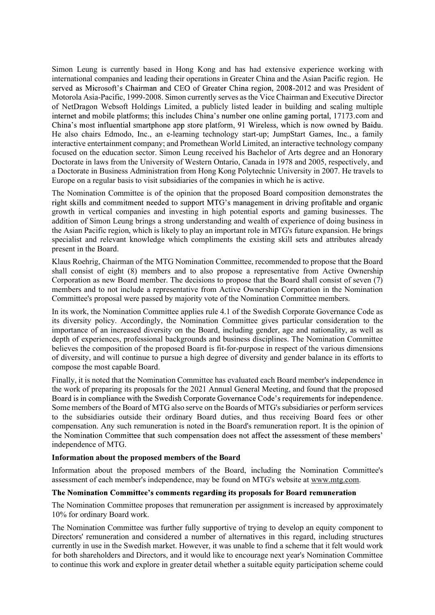Simon Leung is currently based in Hong Kong and has had extensive experience working with international companies and leading their operations in Greater China and the Asian Pacific region. He served as Microsoft's Chairman and CEO of Greater China region, 2008-2012 and was President of Motorola Asia-Pacific, 1999-2008. Simon currently serves as the Vice Chairman and Executive Director of NetDragon Websoft Holdings Limited, a publicly listed leader in building and scaling multiple internet and mobile platforms; this includes China's number one online gaming portal, 17173.com and China's most influential smartphone app store platform, 91 Wireless, which is now owned by Baidu. He also chairs Edmodo, Inc., an e-learning technology start-up; JumpStart Games, Inc., a family interactive entertainment company; and Promethean World Limited, an interactive technology company focused on the education sector. Simon Leung received his Bachelor of Arts degree and an Honorary Doctorate in laws from the University of Western Ontario, Canada in 1978 and 2005, respectively, and a Doctorate in Business Administration from Hong Kong Polytechnic University in 2007. He travels to Europe on a regular basis to visit subsidiaries of the companies in which he is active.

The Nomination Committee is of the opinion that the proposed Board composition demonstrates the right skills and commitment needed to support MTG's management in driving profitable and organic growth in vertical companies and investing in high potential esports and gaming businesses. The addition of Simon Leung brings a strong understanding and wealth of experience of doing business in the Asian Pacific region, which is likely to play an important role in MTG's future expansion. He brings specialist and relevant knowledge which compliments the existing skill sets and attributes already present in the Board.

Klaus Roehrig, Chairman of the MTG Nomination Committee, recommended to propose that the Board shall consist of eight (8) members and to also propose a representative from Active Ownership Corporation as new Board member. The decisions to propose that the Board shall consist of seven  $(7)$ members and to not include a representative from Active Ownership Corporation in the Nomination Committee's proposal were passed by majority vote of the Nomination Committee members.

In its work, the Nomination Committee applies rule 4.1 of the Swedish Corporate Governance Code as its diversity policy. Accordingly, the Nomination Committee gives particular consideration to the importance of an increased diversity on the Board, including gender, age and nationality, as well as depth of experiences, professional backgrounds and business disciplines. The Nomination Committee believes the composition of the proposed Board is fit-for-purpose in respect of the various dimensions of diversity, and will continue to pursue a high degree of diversity and gender balance in its efforts to compose the most capable Board.

Finally, it is noted that the Nomination Committee has evaluated each Board member's independence in the work of preparing its proposals for the 2021 Annual General Meeting, and found that the proposed Board is in compliance with the Swedish Corporate Governance Code's requirements for independence. Some members of the Board of MTG also serve on the Boards of MTG's subsidiaries or perform services to the subsidiaries outside their ordinary Board duties, and thus receiving Board fees or other compensation. Any such remuneration is noted in the Board's remuneration report. It is the opinion of the Nomination Committee that such compensation does not affect the assessment of these members' independence of MTG.

### Information about the proposed members of the Board

Information about the proposed members of the Board, including the Nomination Committee's assessment of each member's independence, may be found on MTG's website at www.mtg.com.

#### The Nomination Committee's comments regarding its proposals for Board remuneration

The Nomination Committee proposes that remuneration per assignment is increased by approximately 10% for ordinary Board work.

The Nomination Committee was further fully supportive of trying to develop an equity component to Directors' remuneration and considered a number of alternatives in this regard, including structures currently in use in the Swedish market. However, it was unable to find a scheme that it felt would work for both shareholders and Directors, and it would like to encourage next year's Nomination Committee to continue this work and explore in greater detail whether a suitable equity participation scheme could